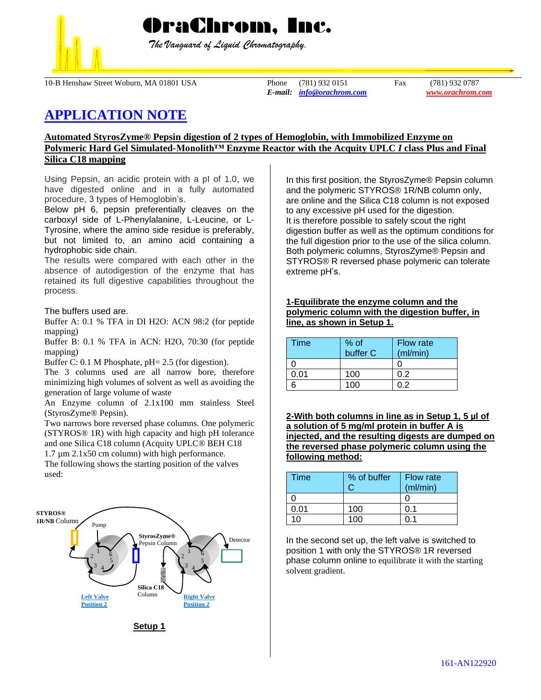

 *The Vanguard of Liquid Chromatography.*

10-B Henshaw Street Woburn, MA 01801 USA Phone (781) 932 0151 Fax (781) 932 0787

*E-mail: [info@orachrom.com](mailto:info@orachrom.com) www.orachrom.com*

# **APPLICATION NOTE**

## **Automated StyrosZyme® Pepsin digestion of 2 types of Hemoglobin, with Immobilized Enzyme on Polymeric Hard Gel Simulated-Monolith™ Enzyme Reactor with the Acquity UPLC** *I* **class Plus and Final Silica C18 mapping**

Using Pepsin, an acidic protein with a pI of 1.0, we have digested online and in a fully automated procedure, 3 types of Hemoglobin's.

Below pH 6, pepsin preferentially cleaves on the carboxyl side of L-Phenylalanine, L-Leucine, or L-Tyrosine, where the amino side residue is preferably, but not limited to, an amino acid containing a hydrophobic side chain.

The results were compared with each other in the absence of autodigestion of the enzyme that has retained its full digestive capabilities throughout the process.

The buffers used are.

Buffer A: 0.1 % TFA in DI H2O: ACN 98:2 (for peptide mapping)

Buffer B: 0.1 % TFA in ACN: H2O, 70:30 (for peptide mapping)

Buffer C: 0.1 M Phosphate, pH= 2.5 (for digestion).

The 3 columns used are all narrow bore, therefore minimizing high volumes of solvent as well as avoiding the generation of large volume of waste

An Enzyme column of 2.1x100 mm stainless Steel (StyrosZyme® Pepsin).

Two narrows bore reversed phase columns. One polymeric (STYROS® 1R) with high capacity and high pH tolerance and one Silica C18 column (Acquity UPLC® BEH C18 1.7 µm 2.1x50 cm column) with high performance.

The following shows the starting position of the valves used:



**Setup 1**

In this first position, the StyrosZyme® Pepsin column and the polymeric STYROS® 1R/NB column only, are online and the Silica C18 column is not exposed to any excessive pH used for the digestion. It is therefore possible to safely scout the right digestion buffer as well as the optimum conditions for the full digestion prior to the use of the silica column. Both polymeric columns, StyrosZyme® Pepsin and STYROS® R reversed phase polymeric can tolerate extreme pH's.

## **1-Equilibrate the enzyme column and the polymeric column with the digestion buffer, in line, as shown in Setup 1.**

| Time | % of<br>buffer C | <b>Flow rate</b><br>(ml/min) |
|------|------------------|------------------------------|
|      |                  |                              |
| ი ი1 | 100              | በ 2                          |
|      | 1ሰበ              |                              |

**2-With both columns in line as in Setup 1, 5 µl of a solution of 5 mg/ml protein in buffer A is injected, and the resulting digests are dumped on the reversed phase polymeric column using the following method:**

| <b>Time</b> | % of buffer | <b>Flow rate</b><br>(ml/min) |
|-------------|-------------|------------------------------|
|             |             |                              |
| 0.01        | 100         | 0.1                          |
| 1∩          | 100         |                              |

In the second set up, the left valve is switched to position 1 with only the STYROS® 1R reversed phase column online to equilibrate it with the starting solvent gradient.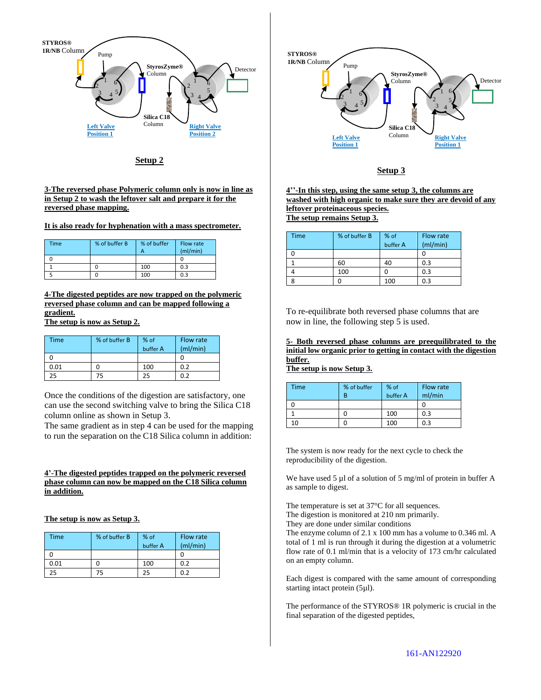

**Setup 2**

**3-The reversed phase Polymeric column only is now in line as in Setup 2 to wash the leftover salt and prepare it for the reversed phase mapping.** 

**It is also ready for hyphenation with a mass spectrometer.** 

| Time | % of buffer B | % of buffer | Flow rate<br>(mI/min) |
|------|---------------|-------------|-----------------------|
|      |               |             |                       |
|      |               | 100         | 0.3                   |
|      |               | 100         | 0.3                   |

**4-The digested peptides are now trapped on the polymeric reversed phase column and can be mapped following a gradient.**

**The setup is now as Setup 2.**

| Time | % of buffer B | % of<br>buffer A | Flow rate<br>(mI/min) |
|------|---------------|------------------|-----------------------|
|      |               |                  |                       |
| 0.01 |               | 100              | 0.2                   |
| 25   | 75            | 25               | በ ን                   |

Once the conditions of the digestion are satisfactory, one can use the second switching valve to bring the Silica C18 column online as shown in Setup 3.

The same gradient as in step 4 can be used for the mapping to run the separation on the C18 Silica column in addition:

### **4'-The digested peptides trapped on the polymeric reversed phase column can now be mapped on the C18 Silica column in addition.**

**The setup is now as Setup 3.**

| Time | % of buffer B | % of<br>buffer A | Flow rate<br>(mI/min) |
|------|---------------|------------------|-----------------------|
|      |               |                  |                       |
| 0.01 |               | 100              | 0.2                   |
| 25   | 75            | 25               | በ ን                   |



#### **Setup 3**

**4''-In this step, using the same setup 3, the columns are washed with high organic to make sure they are devoid of any leftover proteinaceous species. The setup remains Setup 3.**

| <b>Time</b> | % of buffer B | % of<br>buffer A | Flow rate<br>(mI/min) |
|-------------|---------------|------------------|-----------------------|
|             |               |                  |                       |
|             | 60            | 40               | 0.3                   |
|             | 100           |                  | 0.3                   |
|             |               | 100              | 0.3                   |

To re-equilibrate both reversed phase columns that are now in line, the following step 5 is used.

**5- Both reversed phase columns are preequilibrated to the initial low organic prior to getting in contact with the digestion buffer.** 

**The setup is now Setup 3.**

| <b>Time</b> | % of buffer | % of     | Flow rate |
|-------------|-------------|----------|-----------|
|             | R           | buffer A | ml/min    |
|             |             |          |           |
|             |             | 100      | 0.3       |
| 10          |             | 100      | 0.3       |

The system is now ready for the next cycle to check the reproducibility of the digestion.

We have used 5 µl of a solution of 5 mg/ml of protein in buffer A as sample to digest.

The temperature is set at 37°C for all sequences.

The digestion is monitored at 210 nm primarily.

They are done under similar conditions

The enzyme column of 2.1 x 100 mm has a volume to 0.346 ml. A total of 1 ml is run through it during the digestion at a volumetric flow rate of 0.1 ml/min that is a velocity of 173 cm/hr calculated on an empty column.

Each digest is compared with the same amount of corresponding starting intact protein (5µl).

The performance of the STYROS® 1R polymeric is crucial in the final separation of the digested peptides,